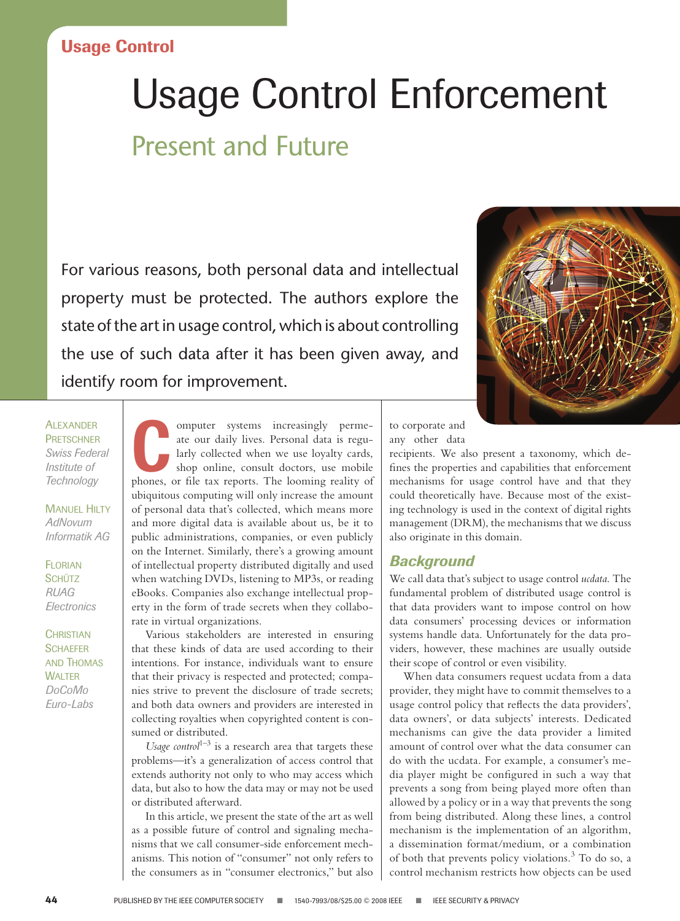# Usage Control

# Usage Control Enforcement

# Present and Future

For various reasons, both personal data and intellectual property must be protected. The authors explore the state of the art in usage control, which is about controlling the use of such data after it has been given away, and identify room for improvement.



AI **FXANDER PRETSCHNER** *Swiss Federal Institute of Technology*

**MANUEL HILTY** *AdNovum Informatik AG* 

**FLORIAN SCHÜTZ** *RUAG Electronics*

**CHRISTIAN SCHAEFER** and Thomas **WAITER** *DoCoMo Euro-Labs*

omputer systems increasingly perme-<br>ate our daily lives. Personal data is regu-<br>larly collected when we use loyalty cards,<br>shop online, consult doctors, use mobile ate our daily lives. Personal data is regularly collected when we use loyalty cards, shop online, consult doctors, use mobile phones, or file tax reports. The looming reality of ubiquitous computing will only increase the amount of personal data that's collected, which means more and more digital data is available about us, be it to public administrations, companies, or even publicly on the Internet. Similarly, there's a growing amount of intellectual property distributed digitally and used when watching DVDs, listening to MP3s, or reading eBooks. Companies also exchange intellectual property in the form of trade secrets when they collaborate in virtual organizations.

Various stakeholders are interested in ensuring that these kinds of data are used according to their intentions. For instance, individuals want to ensure that their privacy is respected and protected; companies strive to prevent the disclosure of trade secrets; and both data owners and providers are interested in collecting royalties when copyrighted content is consumed or distributed.

*Usage control*<sup> $1-3$ </sup> is a research area that targets these problems—it's a generalization of access control that extends authority not only to who may access which data, but also to how the data may or may not be used or distributed afterward.

In this article, we present the state of the art as well as a possible future of control and signaling mechanisms that we call consumer-side enforcement mechanisms. This notion of "consumer" not only refers to the consumers as in "consumer electronics," but also to corporate and any other data

recipients. We also present a taxonomy, which defines the properties and capabilities that enforcement mechanisms for usage control have and that they could theoretically have. Because most of the existing technology is used in the context of digital rights management (DRM), the mechanisms that we discuss also originate in this domain.

# *Background*

We call data that's subject to usage control *ucdata*. The fundamental problem of distributed usage control is that data providers want to impose control on how data consumers' processing devices or information systems handle data. Unfortunately for the data providers, however, these machines are usually outside their scope of control or even visibility.

When data consumers request ucdata from a data provider, they might have to commit themselves to a usage control policy that reflects the data providers', data owners', or data subjects' interests. Dedicated mechanisms can give the data provider a limited amount of control over what the data consumer can do with the ucdata. For example, a consumer's media player might be configured in such a way that prevents a song from being played more often than allowed by a policy or in a way that prevents the song from being distributed. Along these lines, a control mechanism is the implementation of an algorithm, a dissemination format/medium, or a combination of both that prevents policy violations.<sup>3</sup> To do so, a control mechanism restricts how objects can be used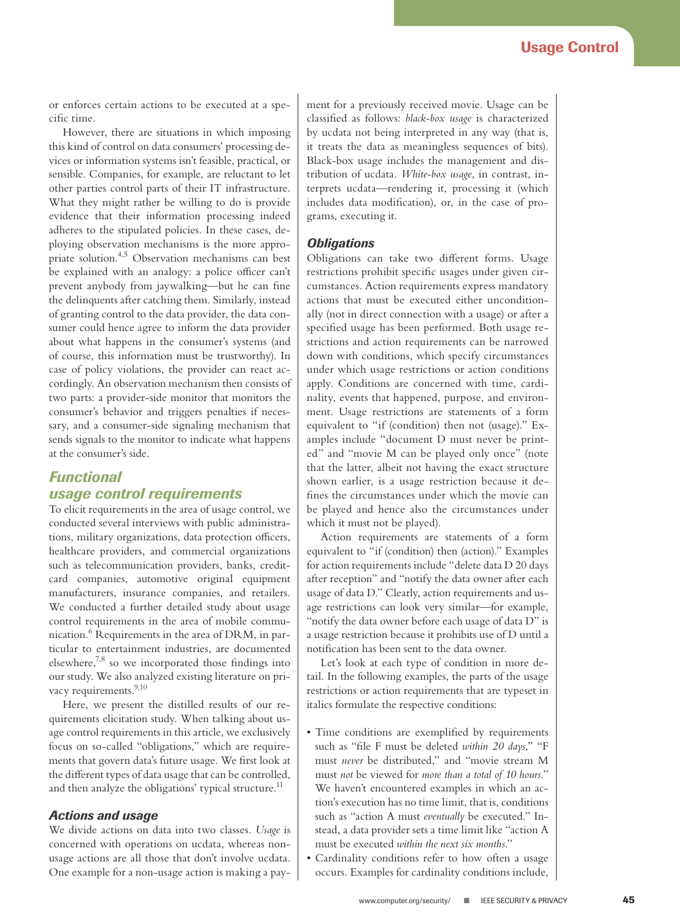or enforces certain actions to be executed at a specific time.

However, there are situations in which imposing this kind of control on data consumers' processing devices or information systems isn't feasible, practical, or sensible. Companies, for example, are reluctant to let other parties control parts of their IT infrastructure. What they might rather be willing to do is provide evidence that their information processing indeed adheres to the stipulated policies. In these cases, deploying observation mechanisms is the more appropriate solution.4,5 Observation mechanisms can best be explained with an analogy: a police officer can't prevent anybody from jaywalking—but he can fine the delinquents after catching them. Similarly, instead of granting control to the data provider, the data consumer could hence agree to inform the data provider about what happens in the consumer's systems (and of course, this information must be trustworthy). In case of policy violations, the provider can react accordingly. An observation mechanism then consists of two parts: a provider-side monitor that monitors the consumer's behavior and triggers penalties if necessary, and a consumer-side signaling mechanism that sends signals to the monitor to indicate what happens at the consumer's side.

# *Functional usage control requirements*

To elicit requirements in the area of usage control, we conducted several interviews with public administrations, military organizations, data protection officers, healthcare providers, and commercial organizations such as telecommunication providers, banks, creditcard companies, automotive original equipment manufacturers, insurance companies, and retailers. We conducted a further detailed study about usage control requirements in the area of mobile communication.6 Requirements in the area of DRM, in particular to entertainment industries, are documented elsewhere, $7.8$  so we incorporated those findings into our study. We also analyzed existing literature on privacy requirements.<sup>9,10</sup>

Here, we present the distilled results of our requirements elicitation study. When talking about usage control requirements in this article, we exclusively focus on so-called "obligations," which are requirements that govern data's future usage. We first look at the different types of data usage that can be controlled, and then analyze the obligations' typical structure.<sup>11</sup>

# *Actions and usage*

We divide actions on data into two classes. *Usage* is concerned with operations on ucdata, whereas nonusage actions are all those that don't involve ucdata. One example for a non-usage action is making a payment for a previously received movie. Usage can be classified as follows: *black-box usage* is characterized by ucdata not being interpreted in any way (that is, it treats the data as meaningless sequences of bits). Black-box usage includes the management and distribution of ucdata. *White-box usage*, in contrast, interprets ucdata—rendering it, processing it (which includes data modification), or, in the case of programs, executing it.

# *Obligations*

Obligations can take two different forms. Usage restrictions prohibit specific usages under given circumstances. Action requirements express mandatory actions that must be executed either unconditionally (not in direct connection with a usage) or after a specified usage has been performed. Both usage restrictions and action requirements can be narrowed down with conditions, which specify circumstances under which usage restrictions or action conditions apply. Conditions are concerned with time, cardinality, events that happened, purpose, and environment. Usage restrictions are statements of a form equivalent to "if (condition) then not (usage)." Examples include "document D must never be printed" and "movie M can be played only once" (note that the latter, albeit not having the exact structure shown earlier, is a usage restriction because it defines the circumstances under which the movie can be played and hence also the circumstances under which it must not be played).

Action requirements are statements of a form equivalent to "if (condition) then (action)." Examples for action requirements include "delete data D 20 days after reception" and "notify the data owner after each usage of data D." Clearly, action requirements and usage restrictions can look very similar—for example, "notify the data owner before each usage of data D" is a usage restriction because it prohibits use of D until a notification has been sent to the data owner.

Let's look at each type of condition in more detail. In the following examples, the parts of the usage restrictions or action requirements that are typeset in italics formulate the respective conditions:

- Time conditions are exemplified by requirements such as "file F must be deleted *within 20 days*," "F must *never* be distributed," and "movie stream M must *not* be viewed for *more than a total of 10 hours*." We haven't encountered examples in which an action's execution has no time limit, that is, conditions such as "action A must *eventually* be executed." Instead, a data provider sets a time limit like "action A must be executed *within the next six months*."
- Cardinality conditions refer to how often a usage occurs. Examples for cardinality conditions include, •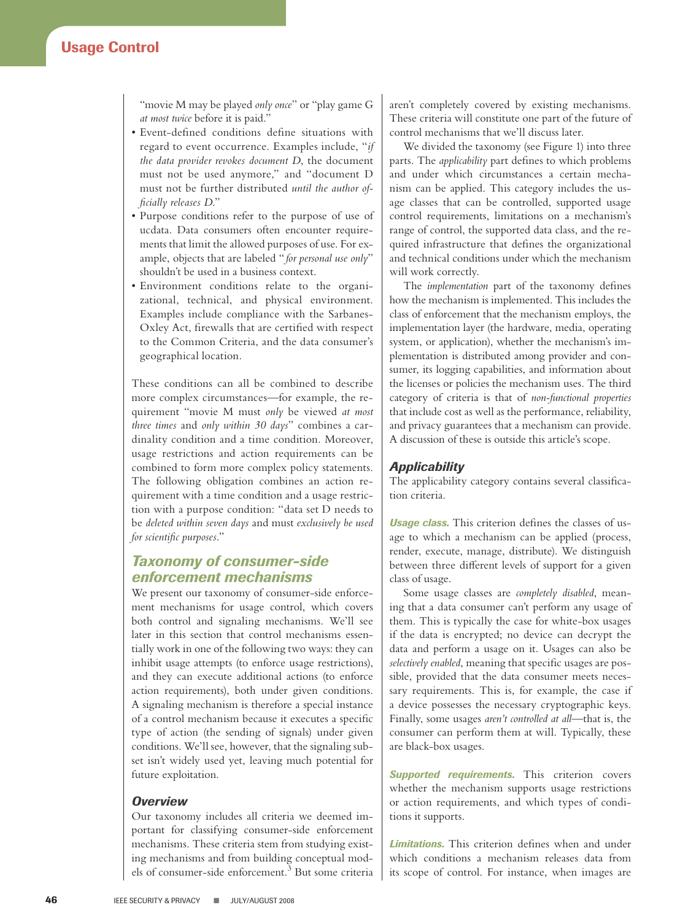"movie M may be played *only once*" or "play game G *at most twice* before it is paid."

- Event-defined conditions define situations with regard to event occurrence. Examples include, "*if the data provider revokes document D*, the document must not be used anymore," and "document D must not be further distributed *until the author officially releases D*."
- Purpose conditions refer to the purpose of use of ucdata. Data consumers often encounter requirements that limit the allowed purposes of use. For example, objects that are labeled " *for personal use only*" shouldn't be used in a business context.
- Environment conditions relate to the organi-• zational, technical, and physical environment. Examples include compliance with the Sarbanes-Oxley Act, firewalls that are certified with respect to the Common Criteria, and the data consumer's geographical location.

These conditions can all be combined to describe more complex circumstances—for example, the requirement "movie M must *only* be viewed *at most three times* and *only within 30 days*" combines a cardinality condition and a time condition. Moreover, usage restrictions and action requirements can be combined to form more complex policy statements. The following obligation combines an action requirement with a time condition and a usage restriction with a purpose condition: "data set D needs to be *deleted within seven days* and must *exclusively be used for scientific purposes*."

# *Taxonomy of consumer-side enforcement mechanisms*

We present our taxonomy of consumer-side enforcement mechanisms for usage control, which covers both control and signaling mechanisms. We'll see later in this section that control mechanisms essentially work in one of the following two ways: they can inhibit usage attempts (to enforce usage restrictions), and they can execute additional actions (to enforce action requirements), both under given conditions. A signaling mechanism is therefore a special instance of a control mechanism because it executes a specific type of action (the sending of signals) under given conditions. We'll see, however, that the signaling subset isn't widely used yet, leaving much potential for future exploitation.

# *Overview*

Our taxonomy includes all criteria we deemed important for classifying consumer-side enforcement mechanisms. These criteria stem from studying existing mechanisms and from building conceptual models of consumer-side enforcement.<sup>3</sup> But some criteria

aren't completely covered by existing mechanisms. These criteria will constitute one part of the future of control mechanisms that we'll discuss later.

We divided the taxonomy (see Figure 1) into three parts. The *applicability* part defines to which problems and under which circumstances a certain mechanism can be applied. This category includes the usage classes that can be controlled, supported usage control requirements, limitations on a mechanism's range of control, the supported data class, and the required infrastructure that defines the organizational and technical conditions under which the mechanism will work correctly.

The *implementation* part of the taxonomy defines how the mechanism is implemented. This includes the class of enforcement that the mechanism employs, the implementation layer (the hardware, media, operating system, or application), whether the mechanism's implementation is distributed among provider and consumer, its logging capabilities, and information about the licenses or policies the mechanism uses. The third category of criteria is that of *non-functional properties* that include cost as well as the performance, reliability, and privacy guarantees that a mechanism can provide. A discussion of these is outside this article's scope.

# *Applicability*

The applicability category contains several classification criteria.

*Usage class.* This criterion defines the classes of usage to which a mechanism can be applied (process, render, execute, manage, distribute). We distinguish between three different levels of support for a given class of usage.

Some usage classes are *completely disabled*, meaning that a data consumer can't perform any usage of them. This is typically the case for white-box usages if the data is encrypted; no device can decrypt the data and perform a usage on it. Usages can also be *selectively enabled*, meaning that specific usages are possible, provided that the data consumer meets necessary requirements. This is, for example, the case if a device possesses the necessary cryptographic keys. Finally, some usages *aren't controlled at all*—that is, the consumer can perform them at will. Typically, these are black-box usages.

*Supported requirements.* This criterion covers whether the mechanism supports usage restrictions or action requirements, and which types of conditions it supports.

*Limitations.* This criterion defines when and under which conditions a mechanism releases data from its scope of control. For instance, when images are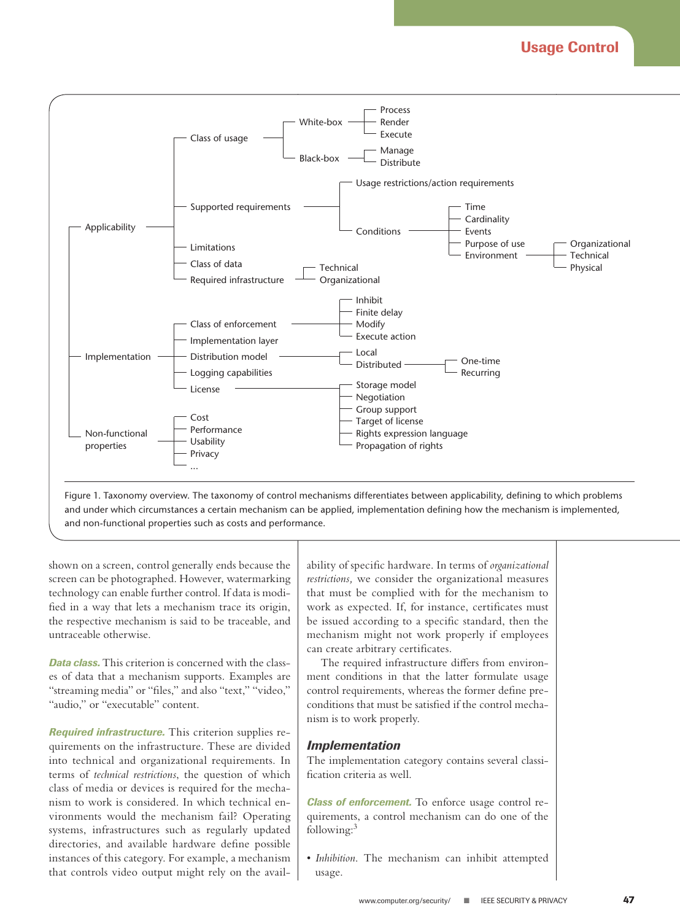# Usage Control



Figure 1. Taxonomy overview. The taxonomy of control mechanisms differentiates between applicability, defining to which problems and under which circumstances a certain mechanism can be applied, implementation defining how the mechanism is implemented, and non-functional properties such as costs and performance.

shown on a screen, control generally ends because the screen can be photographed. However, watermarking technology can enable further control. If data is modified in a way that lets a mechanism trace its origin, the respective mechanism is said to be traceable, and untraceable otherwise.

*Data class.* This criterion is concerned with the classes of data that a mechanism supports. Examples are "streaming media" or "files," and also "text," "video," "audio," or "executable" content.

*Required infrastructure.* This criterion supplies requirements on the infrastructure. These are divided into technical and organizational requirements. In terms of *technical restrictions*, the question of which class of media or devices is required for the mechanism to work is considered. In which technical environments would the mechanism fail? Operating systems, infrastructures such as regularly updated directories, and available hardware define possible instances of this category. For example, a mechanism that controls video output might rely on the availability of specific hardware. In terms of *organizational restrictions,* we consider the organizational measures that must be complied with for the mechanism to work as expected. If, for instance, certificates must be issued according to a specific standard, then the mechanism might not work properly if employees can create arbitrary certificates.

The required infrastructure differs from environment conditions in that the latter formulate usage control requirements, whereas the former define preconditions that must be satisfied if the control mechanism is to work properly.

# *Implementation*

The implementation category contains several classification criteria as well.

*Class of enforcement.* To enforce usage control requirements, a control mechanism can do one of the following:3

*Inhibition*. The mechanism can inhibit attempted • usage.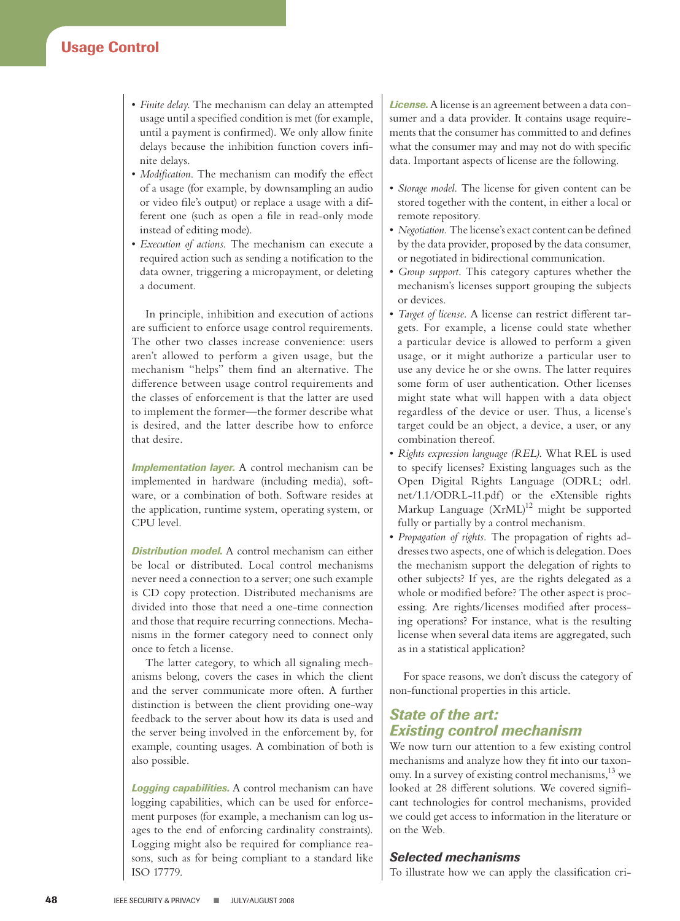- *Finite delay*. The mechanism can delay an attempted usage until a specified condition is met (for example, until a payment is confirmed). We only allow finite delays because the inhibition function covers infinite delays.
- *Modification*. The mechanism can modify the effect of a usage (for example, by downsampling an audio or video file's output) or replace a usage with a different one (such as open a file in read-only mode instead of editing mode).
- *Execution of actions*. The mechanism can execute a required action such as sending a notification to the data owner, triggering a micropayment, or deleting a document.

In principle, inhibition and execution of actions are sufficient to enforce usage control requirements. The other two classes increase convenience: users aren't allowed to perform a given usage, but the mechanism "helps" them find an alternative. The difference between usage control requirements and the classes of enforcement is that the latter are used to implement the former—the former describe what is desired, and the latter describe how to enforce that desire.

*Implementation layer.* A control mechanism can be implemented in hardware (including media), software, or a combination of both. Software resides at the application, runtime system, operating system, or CPU level.

*Distribution model.* A control mechanism can either be local or distributed. Local control mechanisms never need a connection to a server; one such example is CD copy protection. Distributed mechanisms are divided into those that need a one-time connection and those that require recurring connections. Mechanisms in the former category need to connect only once to fetch a license.

The latter category, to which all signaling mechanisms belong, covers the cases in which the client and the server communicate more often. A further distinction is between the client providing one-way feedback to the server about how its data is used and the server being involved in the enforcement by, for example, counting usages. A combination of both is also possible.

*Logging capabilities.* A control mechanism can have logging capabilities, which can be used for enforcement purposes (for example, a mechanism can log usages to the end of enforcing cardinality constraints). Logging might also be required for compliance reasons, such as for being compliant to a standard like ISO 17779.

*License.* A license is an agreement between a data consumer and a data provider. It contains usage requirements that the consumer has committed to and defines what the consumer may and may not do with specific data. Important aspects of license are the following.

- *Storage model.* The license for given content can be stored together with the content, in either a local or remote repository.
- *Negotiation*. The license's exact content can be defined by the data provider, proposed by the data consumer, or negotiated in bidirectional communication.
- *Group support*. This category captures whether the mechanism's licenses support grouping the subjects or devices.
- *Target of license*. A license can restrict different tar-• gets. For example, a license could state whether a particular device is allowed to perform a given usage, or it might authorize a particular user to use any device he or she owns. The latter requires some form of user authentication. Other licenses might state what will happen with a data object regardless of the device or user. Thus, a license's target could be an object, a device, a user, or any combination thereof.
- *Rights expression language (REL)*. What REL is used to specify licenses? Existing languages such as the Open Digital Rights Language (ODRL; odrl. net/1.1/ODRL-11.pdf) or the eXtensible rights Markup Language  $(XrML)^{12}$  might be supported fully or partially by a control mechanism.
- *Propagation of rights.* The propagation of rights ad-•dresses two aspects, one of which is delegation. Does the mechanism support the delegation of rights to other subjects? If yes, are the rights delegated as a whole or modified before? The other aspect is processing. Are rights/licenses modified after processing operations? For instance, what is the resulting license when several data items are aggregated, such as in a statistical application?

For space reasons, we don't discuss the category of non-functional properties in this article.

# *State of the art: Existing control mechanism*

We now turn our attention to a few existing control mechanisms and analyze how they fit into our taxonomy. In a survey of existing control mechanisms,<sup>13</sup> we looked at 28 different solutions. We covered significant technologies for control mechanisms, provided we could get access to information in the literature or on the Web.

# *Selected mechanisms*

To illustrate how we can apply the classification cri-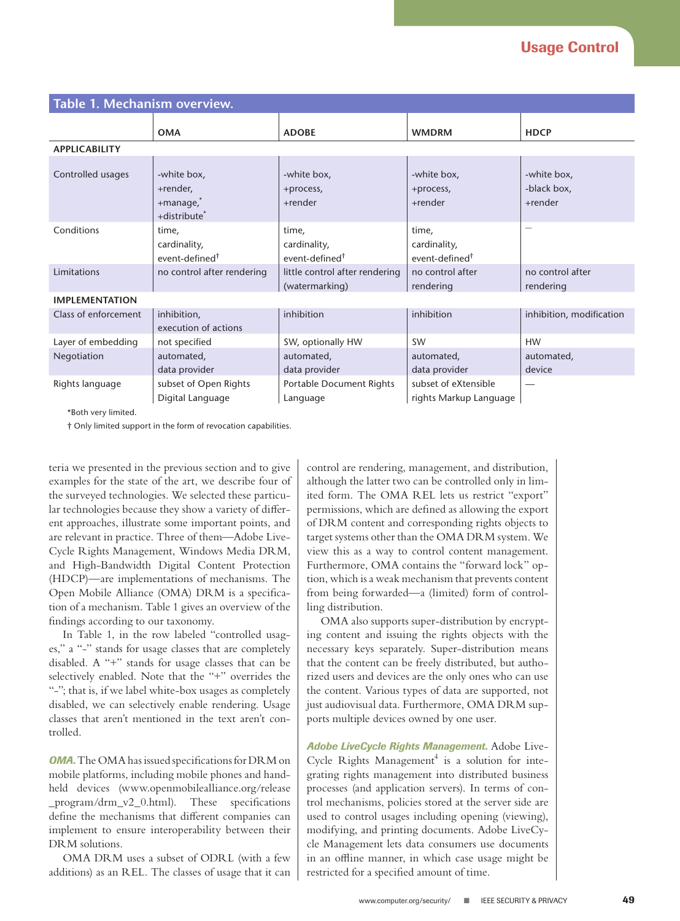# Usage Control

| Table 1. Mechanism overview. |                                                                              |                                                     |                                                     |                                          |
|------------------------------|------------------------------------------------------------------------------|-----------------------------------------------------|-----------------------------------------------------|------------------------------------------|
|                              | <b>OMA</b>                                                                   | <b>ADOBE</b>                                        | <b>WMDRM</b>                                        | <b>HDCP</b>                              |
| <b>APPLICABILITY</b>         |                                                                              |                                                     |                                                     |                                          |
| Controlled usages            | -white box,<br>+render,<br>$+$ manage, $\hat{ }$<br>+distribute <sup>*</sup> | -white box,<br>+process,<br>$+$ render              | -white box,<br>+process,<br>$+$ render              | -white box,<br>-black box,<br>$+$ render |
| Conditions                   | time,<br>cardinality,<br>event-defined <sup>†</sup>                          | time,<br>cardinality,<br>event-defined <sup>†</sup> | time,<br>cardinality,<br>event-defined <sup>†</sup> |                                          |
| Limitations                  | no control after rendering                                                   | little control after rendering<br>(watermarking)    | no control after<br>rendering                       | no control after<br>rendering            |
| <b>IMPLEMENTATION</b>        |                                                                              |                                                     |                                                     |                                          |
| Class of enforcement         | inhibition,<br>execution of actions                                          | inhibition                                          | inhibition                                          | inhibition, modification                 |
| Layer of embedding           | not specified                                                                | SW, optionally HW                                   | <b>SW</b>                                           | <b>HW</b>                                |
| Negotiation                  | automated,<br>data provider                                                  | automated,<br>data provider                         | automated,<br>data provider                         | automated,<br>device                     |
| Rights language              | subset of Open Rights<br>Digital Language                                    | <b>Portable Document Rights</b><br>Language         | subset of eXtensible<br>rights Markup Language      |                                          |

\*Both very limited.

† Only limited support in the form of revocation capabilities.

teria we presented in the previous section and to give examples for the state of the art, we describe four of the surveyed technologies. We selected these particular technologies because they show a variety of different approaches, illustrate some important points, and are relevant in practice. Three of them—Adobe Live-Cycle Rights Management, Windows Media DRM, and High-Bandwidth Digital Content Protection (HDCP)—are implementations of mechanisms. The Open Mobile Alliance (OMA) DRM is a specification of a mechanism. Table 1 gives an overview of the findings according to our taxonomy.

In Table 1, in the row labeled "controlled usages," a "-" stands for usage classes that are completely disabled. A "+" stands for usage classes that can be selectively enabled. Note that the "+" overrides the "-"; that is, if we label white-box usages as completely disabled, we can selectively enable rendering. Usage classes that aren't mentioned in the text aren't controlled.

*OMA.* The OMA has issued specifications for DRM on mobile platforms, including mobile phones and handheld devices (www.openmobilealliance.org/release \_program/drm\_v2\_0.html). These specifications define the mechanisms that different companies can implement to ensure interoperability between their DRM solutions.

OMA DRM uses a subset of ODRL (with a few additions) as an REL. The classes of usage that it can control are rendering, management, and distribution, although the latter two can be controlled only in limited form. The OMA REL lets us restrict "export" permissions, which are defined as allowing the export of DRM content and corresponding rights objects to target systems other than the OMA DRM system. We view this as a way to control content management. Furthermore, OMA contains the "forward lock" option, which is a weak mechanism that prevents content from being forwarded—a (limited) form of controlling distribution.

OMA also supports super-distribution by encrypting content and issuing the rights objects with the necessary keys separately. Super-distribution means that the content can be freely distributed, but authorized users and devices are the only ones who can use the content. Various types of data are supported, not just audiovisual data. Furthermore, OMA DRM supports multiple devices owned by one user.

*Adobe LiveCycle Rights Management.* Adobe Live-Cycle Rights Management<sup>4</sup> is a solution for integrating rights management into distributed business processes (and application servers). In terms of control mechanisms, policies stored at the server side are used to control usages including opening (viewing), modifying, and printing documents. Adobe LiveCycle Management lets data consumers use documents in an offline manner, in which case usage might be restricted for a specified amount of time.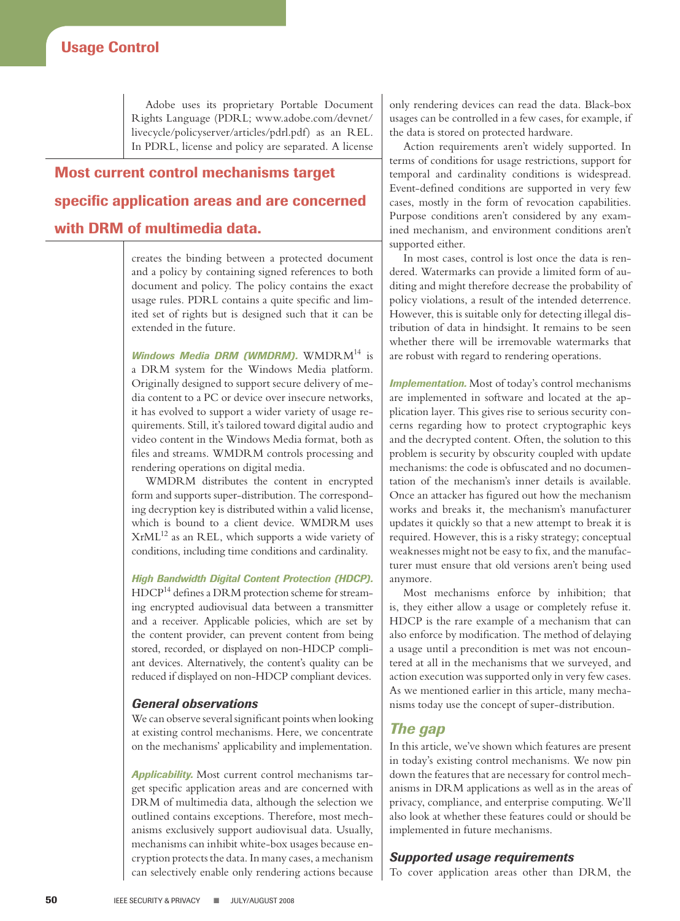Adobe uses its proprietary Portable Document Rights Language (PDRL; www.adobe.com/devnet/ livecycle/policyserver/articles/pdrl.pdf) as an REL. In PDRL, license and policy are separated. A license

# Most current control mechanisms target specific application areas and are concerned with DRM of multimedia data.

creates the binding between a protected document and a policy by containing signed references to both document and policy. The policy contains the exact usage rules. PDRL contains a quite specific and limited set of rights but is designed such that it can be extended in the future.

*Windows Media DRM (WMDRM). WMDRM<sup>14</sup> is* a DRM system for the Windows Media platform. Originally designed to support secure delivery of media content to a PC or device over insecure networks, it has evolved to support a wider variety of usage requirements. Still, it's tailored toward digital audio and video content in the Windows Media format, both as files and streams. WMDRM controls processing and rendering operations on digital media.

WMDRM distributes the content in encrypted form and supports super-distribution. The corresponding decryption key is distributed within a valid license, which is bound to a client device. WMDRM uses  $XrML^{12}$  as an REL, which supports a wide variety of conditions, including time conditions and cardinality.

*High Bandwidth Digital Content Protection (HDCP).*  HDCP<sup>14</sup> defines a DRM protection scheme for streaming encrypted audiovisual data between a transmitter and a receiver. Applicable policies, which are set by the content provider, can prevent content from being stored, recorded, or displayed on non-HDCP compliant devices. Alternatively, the content's quality can be reduced if displayed on non-HDCP compliant devices.

#### *General observations*

We can observe several significant points when looking at existing control mechanisms. Here, we concentrate on the mechanisms' applicability and implementation.

*Applicability.* Most current control mechanisms target specific application areas and are concerned with DRM of multimedia data, although the selection we outlined contains exceptions. Therefore, most mechanisms exclusively support audiovisual data. Usually, mechanisms can inhibit white-box usages because encryption protects the data. In many cases, a mechanism can selectively enable only rendering actions because

only rendering devices can read the data. Black-box usages can be controlled in a few cases, for example, if the data is stored on protected hardware.

Action requirements aren't widely supported. In terms of conditions for usage restrictions, support for temporal and cardinality conditions is widespread. Event-defined conditions are supported in very few cases, mostly in the form of revocation capabilities. Purpose conditions aren't considered by any examined mechanism, and environment conditions aren't supported either.

In most cases, control is lost once the data is rendered. Watermarks can provide a limited form of auditing and might therefore decrease the probability of policy violations, a result of the intended deterrence. However, this is suitable only for detecting illegal distribution of data in hindsight. It remains to be seen whether there will be irremovable watermarks that are robust with regard to rendering operations.

*Implementation.* Most of today's control mechanisms are implemented in software and located at the application layer. This gives rise to serious security concerns regarding how to protect cryptographic keys and the decrypted content. Often, the solution to this problem is security by obscurity coupled with update mechanisms: the code is obfuscated and no documentation of the mechanism's inner details is available. Once an attacker has figured out how the mechanism works and breaks it, the mechanism's manufacturer updates it quickly so that a new attempt to break it is required. However, this is a risky strategy; conceptual weaknesses might not be easy to fix, and the manufacturer must ensure that old versions aren't being used anymore.

Most mechanisms enforce by inhibition; that is, they either allow a usage or completely refuse it. HDCP is the rare example of a mechanism that can also enforce by modification. The method of delaying a usage until a precondition is met was not encountered at all in the mechanisms that we surveyed, and action execution was supported only in very few cases. As we mentioned earlier in this article, many mechanisms today use the concept of super-distribution.

# *The gap*

In this article, we've shown which features are present in today's existing control mechanisms. We now pin down the features that are necessary for control mechanisms in DRM applications as well as in the areas of privacy, compliance, and enterprise computing. We'll also look at whether these features could or should be implemented in future mechanisms.

# *Supported usage requirements*

To cover application areas other than DRM, the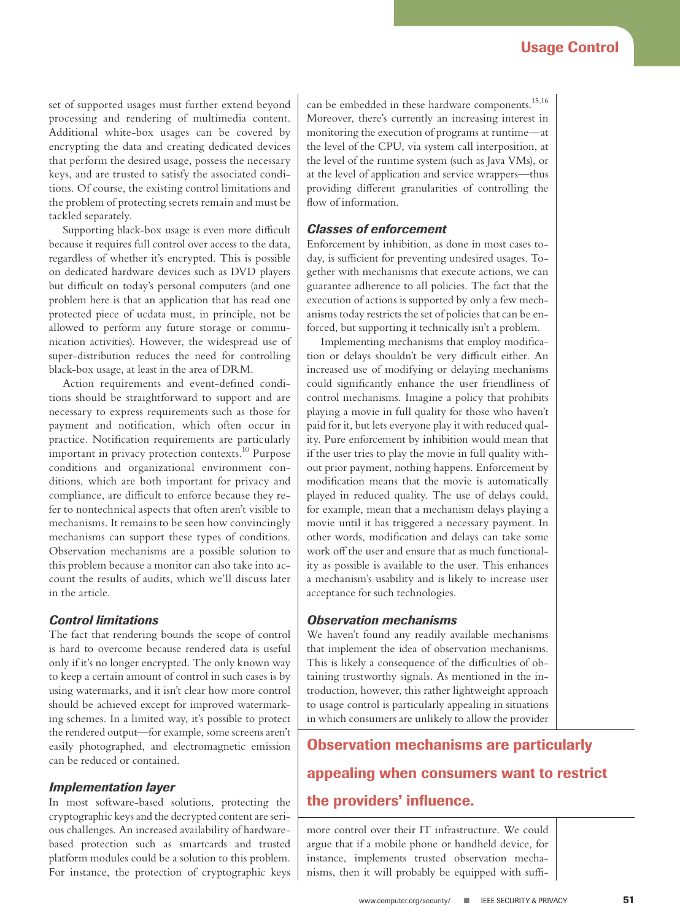set of supported usages must further extend beyond processing and rendering of multimedia content. Additional white-box usages can be covered by encrypting the data and creating dedicated devices that perform the desired usage, possess the necessary keys, and are trusted to satisfy the associated conditions. Of course, the existing control limitations and the problem of protecting secrets remain and must be tackled separately.

Supporting black-box usage is even more difficult because it requires full control over access to the data, regardless of whether it's encrypted. This is possible on dedicated hardware devices such as DVD players but difficult on today's personal computers (and one problem here is that an application that has read one protected piece of ucdata must, in principle, not be allowed to perform any future storage or communication activities). However, the widespread use of super-distribution reduces the need for controlling black-box usage, at least in the area of DRM.

Action requirements and event-defined conditions should be straightforward to support and are necessary to express requirements such as those for payment and notification, which often occur in practice. Notification requirements are particularly important in privacy protection contexts.10 Purpose conditions and organizational environment conditions, which are both important for privacy and compliance, are difficult to enforce because they refer to nontechnical aspects that often aren't visible to mechanisms. It remains to be seen how convincingly mechanisms can support these types of conditions. Observation mechanisms are a possible solution to this problem because a monitor can also take into account the results of audits, which we'll discuss later in the article.

# *Control limitations*

The fact that rendering bounds the scope of control is hard to overcome because rendered data is useful only if it's no longer encrypted. The only known way to keep a certain amount of control in such cases is by using watermarks, and it isn't clear how more control should be achieved except for improved watermarking schemes. In a limited way, it's possible to protect the rendered output—for example, some screens aren't easily photographed, and electromagnetic emission can be reduced or contained.

#### *Implementation layer*

In most software-based solutions, protecting the cryptographic keys and the decrypted content are serious challenges. An increased availability of hardwarebased protection such as smartcards and trusted platform modules could be a solution to this problem. For instance, the protection of cryptographic keys

can be embedded in these hardware components.<sup>15,16</sup> Moreover, there's currently an increasing interest in monitoring the execution of programs at runtime—at the level of the CPU, via system call interposition, at the level of the runtime system (such as Java VMs), or at the level of application and service wrappers—thus providing different granularities of controlling the flow of information.

# *Classes of enforcement*

Enforcement by inhibition, as done in most cases today, is sufficient for preventing undesired usages. Together with mechanisms that execute actions, we can guarantee adherence to all policies. The fact that the execution of actions is supported by only a few mechanisms today restricts the set of policies that can be enforced, but supporting it technically isn't a problem.

Implementing mechanisms that employ modification or delays shouldn't be very difficult either. An increased use of modifying or delaying mechanisms could significantly enhance the user friendliness of control mechanisms. Imagine a policy that prohibits playing a movie in full quality for those who haven't paid for it, but lets everyone play it with reduced quality. Pure enforcement by inhibition would mean that if the user tries to play the movie in full quality without prior payment, nothing happens. Enforcement by modification means that the movie is automatically played in reduced quality. The use of delays could, for example, mean that a mechanism delays playing a movie until it has triggered a necessary payment. In other words, modification and delays can take some work off the user and ensure that as much functionality as possible is available to the user. This enhances a mechanism's usability and is likely to increase user acceptance for such technologies.

#### *Observation mechanisms*

We haven't found any readily available mechanisms that implement the idea of observation mechanisms. This is likely a consequence of the difficulties of obtaining trustworthy signals. As mentioned in the introduction, however, this rather lightweight approach to usage control is particularly appealing in situations in which consumers are unlikely to allow the provider

# Observation mechanisms are particularly appealing when consumers want to restrict the providers' influence.

more control over their IT infrastructure. We could argue that if a mobile phone or handheld device, for instance, implements trusted observation mechanisms, then it will probably be equipped with suffi-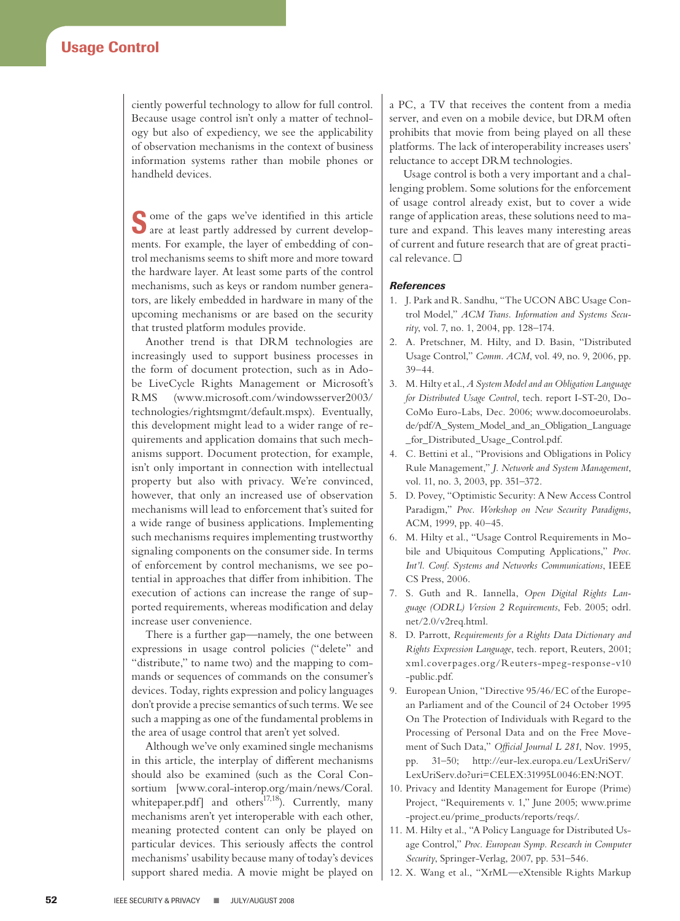ciently powerful technology to allow for full control. Because usage control isn't only a matter of technology but also of expediency, we see the applicability of observation mechanisms in the context of business information systems rather than mobile phones or handheld devices.

Some of the gaps we've identified in this article are at least partly addressed by current developments. For example, the layer of embedding of control mechanisms seems to shift more and more toward the hardware layer. At least some parts of the control mechanisms, such as keys or random number generators, are likely embedded in hardware in many of the upcoming mechanisms or are based on the security that trusted platform modules provide.

Another trend is that DRM technologies are increasingly used to support business processes in the form of document protection, such as in Adobe LiveCycle Rights Management or Microsoft's RMS (www.microsoft.com/windowsserver2003/ technologies/rightsmgmt/default.mspx). Eventually, this development might lead to a wider range of requirements and application domains that such mechanisms support. Document protection, for example, isn't only important in connection with intellectual property but also with privacy. We're convinced, however, that only an increased use of observation mechanisms will lead to enforcement that's suited for a wide range of business applications. Implementing such mechanisms requires implementing trustworthy signaling components on the consumer side. In terms of enforcement by control mechanisms, we see potential in approaches that differ from inhibition. The execution of actions can increase the range of supported requirements, whereas modification and delay increase user convenience.

There is a further gap—namely, the one between expressions in usage control policies ("delete" and "distribute," to name two) and the mapping to commands or sequences of commands on the consumer's devices. Today, rights expression and policy languages don't provide a precise semantics of such terms. We see such a mapping as one of the fundamental problems in the area of usage control that aren't yet solved.

Although we've only examined single mechanisms in this article, the interplay of different mechanisms should also be examined (such as the Coral Consortium [www.coral-interop.org/main/news/Coral. whitepaper.pdf and others<sup>17,18</sup>). Currently, many mechanisms aren't yet interoperable with each other, meaning protected content can only be played on particular devices. This seriously affects the control mechanisms' usability because many of today's devices support shared media. A movie might be played on a PC, a TV that receives the content from a media server, and even on a mobile device, but DRM often prohibits that movie from being played on all these platforms. The lack of interoperability increases users' reluctance to accept DRM technologies.

Usage control is both a very important and a challenging problem. Some solutions for the enforcement of usage control already exist, but to cover a wide range of application areas, these solutions need to mature and expand. This leaves many interesting areas of current and future research that are of great practical relevance.

#### *References*

- J. Park and R. Sandhu, "The UCON ABC Usage Con-1. trol Model," *ACM Trans. Information and Systems Security*, vol. 7, no. 1, 2004, pp. 128–174.
- A. Pretschner, M. Hilty, and D. Basin, "Distributed 2. Usage Control," *Comm. ACM*, vol. 49, no. 9, 2006, pp. 39–44.
- M. Hilty et al., *A System Model and an Obligation Language*  3. *for Distributed Usage Control*, tech. report I-ST-20, Do-CoMo Euro-Labs, Dec. 2006; www.docomoeurolabs. de/pdf/A\_System\_Model\_and\_an\_Obligation\_Language \_for\_Distributed\_Usage\_Control.pdf.
- C. Bettini et al., "Provisions and Obligations in Policy 4. Rule Management," *J. Network and System Management*, vol. 11, no. 3, 2003, pp. 351–372.
- D. Povey, "Optimistic Security: A New Access Control 5. Paradigm," *Proc. Workshop on New Security Paradigms*, ACM, 1999, pp. 40–45.
- M. Hilty et al., "Usage Control Requirements in Mo-6. bile and Ubiquitous Computing Applications," *Proc. Int'l. Conf. Systems and Networks Communications*, IEEE CS Press, 2006.
- S. Guth and R. Iannella, *Open Digital Rights Lan-*7. *guage (ODRL) Version 2 Requirements*, Feb. 2005; odrl. net/2.0/v2req.html.
- D. Parrott, *Requirements for a Rights Data Dictionary and*  8. *Rights Expression Language*, tech. report, Reuters, 2001; xml.coverpages.org/Reuters-mpeg-response-v10 -public.pdf.
- 9. European Union, "Directive 95/46/EC of the European Parliament and of the Council of 24 October 1995 On The Protection of Individuals with Regard to the Processing of Personal Data and on the Free Movement of Such Data," *Official Journal L 281*, Nov. 1995, pp. 31–50; http://eur-lex.europa.eu/LexUriServ/ LexUriServ.do?uri=CELEX:31995L0046:EN:NOT.
- 10. Privacy and Identity Management for Europe (Prime) Project, "Requirements v. 1," June 2005; www.prime -project.eu/prime\_products/reports/reqs/.
- 11. M. Hilty et al., "A Policy Language for Distributed Usage Control," *Proc. European Symp. Research in Computer Security*, Springer-Verlag, 2007, pp. 531–546.
- 12. X. Wang et al., "XrML—eXtensible Rights Markup